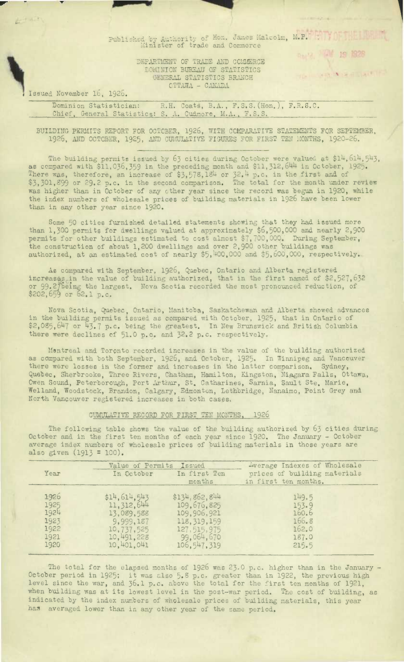## Published by Authority of Hon. James Malcolm, M.P. iinister of trade and Commerce Ren'd, NOM 19 1928

DEPARTMENT OF TRADE AND COMMERCE DOMINION BUREAU OF STATISTICS **EXHERAL STATISTICS BRANCH AND REAL PROPERTY OF A REAL PROPERTY.** CTTAWA - CANADA

Issued November 16, 192o.

'V

**Address** 

Dominion Statistician: R.H. Coats, B.A., F.S.S. (Hon.), F.R.S.C. Chief, General Statistics: S. A. Cudmore, M.A., F.S.S.

BUILDING PERMITS REPORT FOR OCTOBER, 1926, WITH COMPARATIVE STATEMENTS FOR SEPTEMBER, 1926, AND OCTOBER, 1925, AND CURULATIVE FIGURES FOR FIRST TEN MONTHS, 1920-26.

The building permits issued by  $63$  cities during October were valued at  $$14,614,543$ , as compared with \$11,036,359 in the preceding month and \$11,312,644 in October, 1925. There was, therefore, an increase of \$3,578,184 or 32.4 p.c. in the first and of \$3,301,899 or 29.2 p.c. in the second comparison. The total for the month under review was higher than in October of any cther year since the record was begun in 1920, while the index numbers of wholesale prices of building materials **in** 1926 have been lower than in any other year since 1920.

Some 50 cities furnished, detailed statements showing that they had issued more than 1,300 permits for dwellings valued at approximately \$6,500,000 and nearly 2,900 permits for other buildings estimated to cost almost \$7,700,000. During September, the construction of about 1,200 dwellings and over 2,900 other buildings was authorized, at an estimated cost of nearly \$5,1400,000 and \$5,600,000, respectively.

As compared with September, 1926, Quebec, Ontario and Alberta registered increases in the value of building authorized, that in the first named of \$2,527,632 or 99.2) being the largest. Nova Scotia recorded the most pronounced reduction, of \$202,659 or 62.1 P.C.

Nova Scotia, Quebec, Ontario, Manitoba, Saskatchewan and Alberta showed advances in the building permits issued as compared with October, 1925, that in Ontario of \$2,085,647 or 43.7 p.c. being the greatest. In New Brunswick and British Columbia there were declines of 51.0 p.c. and 32.2 p.c. respectively.

Montreal and Toronto recorded increases in the value of the building authorized as compared with both September, 1926, and October, 1925, In Winnipeg and Vancouver there were losses in the former and increases in the latter comparison, Sydney, Quebec, Sherbrooke, Three Rivers, Chatham, Hamilton, Kingston, Niagara Falls, Ottawa, Owen Sound, Peterborough, Port Arthur, St. Catharines, Sarnia, Sault Ste, Marie, Welland, Woodstock, Brandon, Calgary, Edmonton, Lethbridge, Nanaimo, Point Grey and North Vancouver registered. increases in both cases.

## CUMULATIVE RECORD FOR FIRST TEN MONTHS, 1926

The following table shows the value of the building authorized by 63 cities during October and in the first ten months of each year since 1920. The January - October average index numbers of wholesale prices of building materials in those years are also given  $(1913 = 100)$ .

|                                                      | Value of Permits Issued                                                                             |                                                                                                              | Average Indexes of Wholesale                                |  |
|------------------------------------------------------|-----------------------------------------------------------------------------------------------------|--------------------------------------------------------------------------------------------------------------|-------------------------------------------------------------|--|
| Year                                                 |                                                                                                     | In October In first Ten<br>months                                                                            | prices of building materials<br>in first ten months.        |  |
| 1926<br>1925<br>1924<br>1923<br>1922<br>1921<br>1920 | \$14,614,543<br>11, 312, 644<br>13,089,588<br>9,999,187<br>10, 737, 525<br>10.491.228<br>10,401.041 | \$134.862,844<br>109, 676, 825<br>109,906.921<br>118, 319, 159<br>127.515,975<br>99,064,670<br>106, 547, 319 | 149.5<br>153.9<br>160.6<br>166.8<br>162.0<br>187.0<br>215.5 |  |

The total for the elapsed months of 1926 was 23.0 p.c. higher than in the January -October period in 1925; it was also 5.8 p.c. greater than in 1922, the previous high level since the war, and 36.1 P.C. above the total for the first ten months of 1921, when building was at its lowest level in the post-war period. The cost of building, as indicated by the index numbers of wholesale prices of building materials, this year has averaged lower than in any other year of the same period.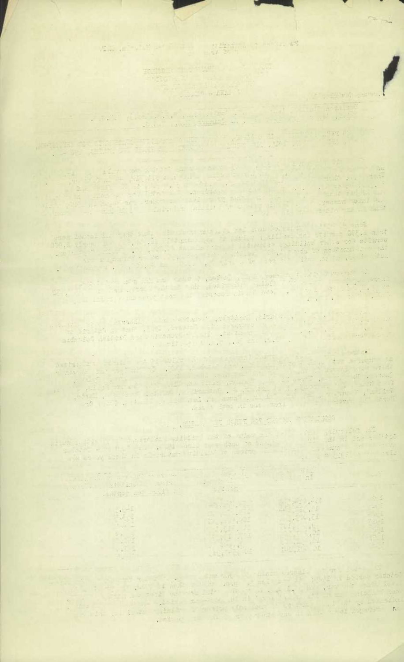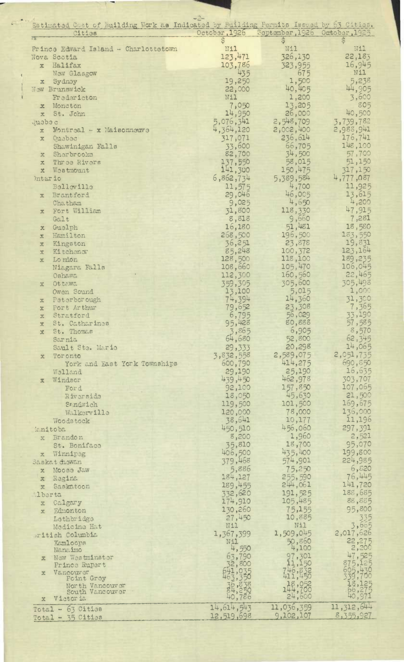| Estimated Cost of Building Work as Indicated by Fuilding Fermits Issued by 63 Cities.<br>Cities | October, 1926 September, 1926 October, 1925 |                    |                   |
|-------------------------------------------------------------------------------------------------|---------------------------------------------|--------------------|-------------------|
|                                                                                                 |                                             | \$                 | \$                |
| Prince Edward Island - Charlottetown                                                            | N11                                         | Nil                | Nil               |
| Nova Scotia                                                                                     | 123,471                                     | 326,130            | 22,185            |
| Halifax<br>$\mathbf{x}$                                                                         | 103,786                                     | 323,955            | 16,945            |
| New Glasgow                                                                                     | 435                                         | 675                | Nil               |
| Sydney<br>X.                                                                                    | 19,250                                      | 1,500              | 5,238             |
| <b>New Brunswick</b>                                                                            | 22,000                                      | 40,405             | 44,905            |
| Fredericton                                                                                     | Nil                                         | 1,200              | 3,600             |
| Moncton<br>$\mathbf{x}$                                                                         | 7,050                                       | 13,205             | 805               |
| x St. John                                                                                      | 14,950                                      | 26,000             | 40,500            |
| yusbec                                                                                          | 5,076,341                                   | 2,548,709          | 3,739,782         |
| Montreal - x Maisonneuve<br>$\mathbf{x}$                                                        | 4,364,120                                   | 2,002,400          | 2,988,941         |
| Quebac<br>$\mathbf{x}$                                                                          | 317,071                                     | 236,614            | 176,741           |
| Shawinigan Falls                                                                                | 33,600                                      | 66,705             | 148,100           |
| Sherbrooke<br>$\mathbf{x}$                                                                      | 82,700                                      | 34,500             | 57,700            |
| Three Rivers<br>$\mathbf{x}$                                                                    | 137,550                                     | 58,015             | 51,150            |
| Westmount<br>丈                                                                                  | 141,300                                     | 150,475            | 317,150           |
| Intario                                                                                         | 6,862,734                                   | 5,389,584          | 4,777,087         |
| Belleville                                                                                      | 11,575                                      | 4,700              | 11,925            |
| Brantford<br>$\mathbf{x}$                                                                       | 29,046                                      | 46,005             | 13,615            |
| Cha tham                                                                                        | 9,025                                       | 4,650              | 4,200             |
| Fort William<br>$\mathbf{x}$                                                                    | 31,800                                      | 118,330            | 47,915            |
| Galt                                                                                            | 8,818                                       | 9,660              | 7,281             |
| Guelph<br>$\mathbf x$                                                                           | 16,180                                      | 51,481             | 18,580            |
| Hamilton<br>$\mathbf{x}$                                                                        | 268,500                                     | 196,500            | 183,550           |
| Kingston<br>$\mathbf{x}$                                                                        | 36,251                                      | 23,878             | 19,831            |
| Ki tchener<br>$\mathbf x$                                                                       | 85,248                                      | 100,372            | 123,164           |
| Lo nion<br>$\mathbf x$                                                                          | 128,500                                     | 118,100            | 189,235           |
| Niagara Falls                                                                                   | 108,660                                     | 105,470            | 106,045           |
| Oshawa                                                                                          | 112,300                                     | 160,560            | 22,465            |
| Ot tawa<br>$\mathbf x$                                                                          | 359,305                                     | 305,600            | 305,498           |
| Owen Sound                                                                                      | 13,100                                      | 5,015              | 1,000             |
| Peterbor ough<br>$\mathbf{x}$                                                                   | 74,394                                      | 14,360             | 31,300            |
| Port Arthur<br>$\mathbf{x}$                                                                     | 79,652                                      | 23,308             | 7,365             |
| x Stratford                                                                                     | 6,795                                       | 56,029             | 33,190            |
| St. Catharines<br>$\mathbf x$                                                                   | 95,428                                      | 80,888             | 57,585            |
| x St. Thomas                                                                                    | 3,865                                       | 6,905              | 8,570             |
| Sarnia                                                                                          | 64,680                                      | 52,800             | 62, 345           |
| Sault Ste. Marie                                                                                | 29,333                                      | 20,298             | 14,065            |
| Toronto<br>$\mathbf x$                                                                          | 3,832,558                                   | 2,589,075          | 2,051,735         |
| York and East York Townships                                                                    | 600,790                                     | 414,275            | 690,850           |
| Welland                                                                                         | 29,190                                      | 25,190             | 16,535            |
| Windsor<br>罢.                                                                                   | 439,450                                     | 462,978            | 303,707           |
| Ford                                                                                            | 92,100                                      | 157,850            | 107,065           |
| Riverside                                                                                       | 18,050                                      | 45,630             | 21,500            |
| Sandwich                                                                                        | 119,500                                     | 101,500            | 169,675           |
| Walkerville                                                                                     | 120,000                                     | 78,000             | 136,000           |
| Woodstock                                                                                       | 38,641                                      | 10,177             | 11,196            |
|                                                                                                 | 450,510                                     | 456,060            | 297,391           |
| knitoba                                                                                         | 8,200                                       | 1,960              | 2,521             |
| <b>Brandon</b><br>$\mathbf x$                                                                   | 35,810                                      | 18,700             | 95,070            |
| St. Boniface                                                                                    | 406,500                                     | 435,400            | 199,800           |
| x Winnipeg                                                                                      | 379,468                                     | 574,901            | 224,985           |
| Saskat chowan                                                                                   | 5,886                                       | 75,250             | 6,820             |
| Moose Jaw<br>$\mathbf x$                                                                        | 184,127                                     | 255,590            | 76,445            |
| Regina<br>$\overline{x}$                                                                        | 189,455                                     | 244,061            | 141,720           |
| Saskatoon<br>$\mathbf{x}$                                                                       | 332,620                                     | 191,525            | 188,685           |
| lberta                                                                                          | 174,910                                     | 105,485            | 88,885            |
| Calgary<br>$\mathbf{x}$                                                                         | 130,260                                     | 75,155             | 95,800            |
| Edmonton<br>$\mathbb{X}$                                                                        | 27,450                                      | 10,885             |                   |
| Lothbridge                                                                                      | Nil                                         | Nil                | 335<br>3,665      |
| Medicine Hat                                                                                    | 1,367,399                                   | 1,509,045          | 2,017,626         |
| Fitish Columbia                                                                                 | Nil                                         | 50,860             |                   |
| Kamloops                                                                                        | 4,550                                       | 4,100              | $22,275$<br>2,200 |
| Nanaimo<br>New Westminster                                                                      | 63,790                                      | 97,301             | 47,525            |
| $\mathbf{x}$<br>Prince Rupert                                                                   | 32,800                                      | 11,150             | 875,125           |
| Vancouver<br>$\mathbf{x}$                                                                       |                                             |                    | 605,430           |
| Point Grey                                                                                      | 641,035<br>463,350                          | 746,832<br>411,450 | 339,700           |
| North Vancouver                                                                                 | $36,838$<br>$359$                           | 14,288             | 18,125            |
| South Vancouver                                                                                 | 40,786                                      | 24,600             |                   |
| Victoria<br>$\mathbf{x}$                                                                        |                                             |                    |                   |
| $Total - 63 Citis$                                                                              | 14,614,543                                  | 11,036,359         | 11,312,644        |
| $M = +0.7 - 75$ $C + +100$                                                                      | 12.519.698                                  | 9.102.107          | 8, 355, 927       |